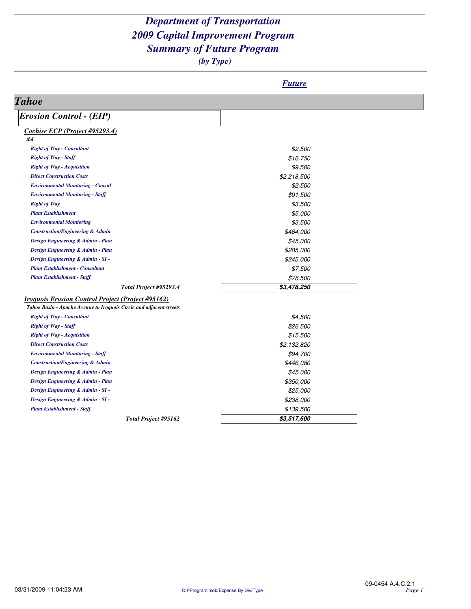|                                                                     | <b>Future</b> |  |
|---------------------------------------------------------------------|---------------|--|
| <b>Tahoe</b>                                                        |               |  |
| <b>Erosion Control - (EIP)</b>                                      |               |  |
| <b>Cochise ECP</b> (Project #95293.4)                               |               |  |
| tbd                                                                 |               |  |
| <b>Right of Way - Consultant</b>                                    | \$2,500       |  |
| <b>Right of Way - Staff</b>                                         | \$16,750      |  |
| <b>Right of Way - Acquisition</b>                                   | \$9,500       |  |
| <b>Direct Construction Costs</b>                                    | \$2,218,500   |  |
| <b>Environmental Monitoring - Consul</b>                            | \$2,500       |  |
| <b>Environmental Monitoring - Staff</b>                             | \$91,500      |  |
| <b>Right of Way</b>                                                 | \$3,500       |  |
| <b>Plant Establishment</b>                                          | \$5,000       |  |
| <b>Environmental Monitoring</b>                                     | \$3,500       |  |
| <b>Construction/Engineering &amp; Admin</b>                         | \$464,000     |  |
| Design Engineering & Admin - Plan                                   | \$45,000      |  |
| Design Engineering & Admin - Plan                                   | \$285,000     |  |
| Design Engineering & Admin - SI -                                   | \$245,000     |  |
| <b>Plant Establishment - Consultant</b>                             | \$7,500       |  |
| <b>Plant Establishment - Staff</b>                                  | \$78,500      |  |
| Total Project #95293.4                                              | \$3,478,250   |  |
| <b>Iroquois Erosion Control Project (Project #95162)</b>            |               |  |
| Tahoe Basin - Apache Avenue to Iroquois Circle and adjacent streets |               |  |
| <b>Right of Way - Consultant</b>                                    | \$4,500       |  |
| <b>Right of Way - Staff</b>                                         | \$26,500      |  |
| <b>Right of Way - Acquisition</b>                                   | \$15,500      |  |
| <b>Direct Construction Costs</b>                                    | \$2,132,820   |  |
| <b>Environmental Monitoring - Staff</b>                             | \$94,700      |  |
| <b>Construction/Engineering &amp; Admin</b>                         | \$446,080     |  |
| Design Engineering & Admin - Plan                                   | \$45,000      |  |
| Design Engineering & Admin - Plan                                   | \$350,000     |  |
| Design Engineering & Admin - SI -                                   | \$25,000      |  |
| Design Engineering & Admin - SI -                                   | \$238,000     |  |
| <b>Plant Establishment - Staff</b>                                  | \$139,500     |  |
| Total Project #95162                                                | \$3,517,600   |  |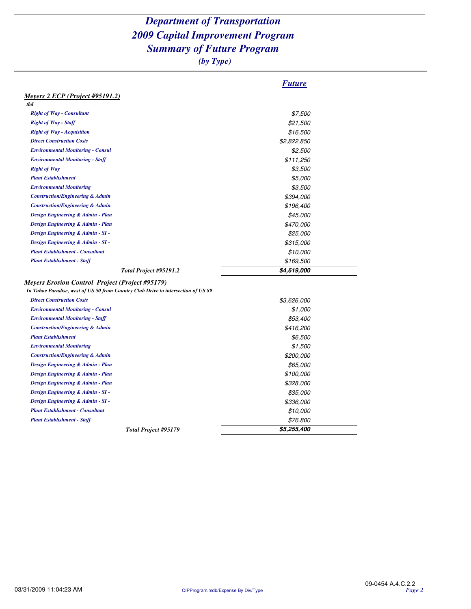|                                                                                   | <b>Future</b> |
|-----------------------------------------------------------------------------------|---------------|
| Meyers 2 ECP (Project #95191.2)                                                   |               |
| thd                                                                               |               |
| <b>Right of Way - Consultant</b>                                                  | \$7,500       |
| <b>Right of Way - Staff</b>                                                       | \$21,500      |
| <b>Right of Way - Acquisition</b>                                                 | \$16,500      |
| <b>Direct Construction Costs</b>                                                  | \$2,822,850   |
| <b>Environmental Monitoring - Consul</b>                                          | \$2,500       |
| <b>Environmental Monitoring - Staff</b>                                           | \$111,250     |
| <b>Right of Way</b>                                                               | \$3,500       |
| <b>Plant Establishment</b>                                                        | \$5,000       |
| <b>Environmental Monitoring</b>                                                   | \$3,500       |
| <b>Construction/Engineering &amp; Admin</b>                                       | \$394,000     |
| <b>Construction/Engineering &amp; Admin</b>                                       | \$196,400     |
| Design Engineering & Admin - Plan                                                 | \$45,000      |
| Design Engineering & Admin - Plan                                                 | \$470,000     |
| Design Engineering & Admin - SI -                                                 | \$25,000      |
| Design Engineering & Admin - SI -                                                 | \$315,000     |
| <b>Plant Establishment - Consultant</b>                                           | \$10,000      |
| <b>Plant Establishment - Staff</b>                                                | \$169,500     |
| Total Project #95191.2                                                            | \$4,619,000   |
| <b>Meyers Erosion Control Project (Project #95179)</b>                            |               |
| In Tahoe Paradise, west of US 50 from Country Club Drive to intersection of US 89 |               |
| <b>Direct Construction Costs</b>                                                  | \$3,626,000   |
| <b>Environmental Monitoring - Consul</b>                                          | \$1,000       |
| <b>Environmental Monitoring - Staff</b>                                           | \$53,400      |
| <b>Construction/Engineering &amp; Admin</b>                                       | \$416,200     |
| <b>Plant Establishment</b>                                                        | \$6,500       |
| <b>Environmental Monitoring</b>                                                   | \$1,500       |
| <b>Construction/Engineering &amp; Admin</b>                                       | \$200,000     |
| Design Engineering & Admin - Plan                                                 | \$65,000      |
| Design Engineering & Admin - Plan                                                 | \$100,000     |
| Design Engineering & Admin - Plan                                                 | \$328,000     |
| Design Engineering & Admin - SI -                                                 | \$35,000      |
| Design Engineering & Admin - SI -                                                 | \$336,000     |
| <b>Plant Establishment - Consultant</b>                                           | \$10,000      |
| <b>Plant Establishment - Staff</b>                                                | \$76,800      |
| Total Project #95179                                                              | \$5,255,400   |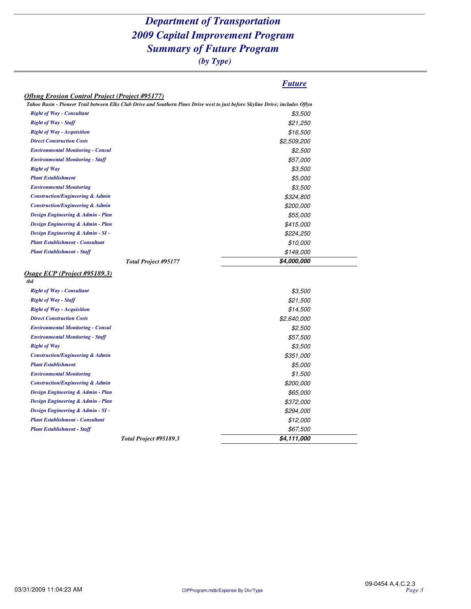*(by Type)*

#### *Future*

|  |  | Oflyng Erosion Control Project (Project #95177) |
|--|--|-------------------------------------------------|
|--|--|-------------------------------------------------|

| <b>Right of Way - Consultant</b><br>\$3,500<br><b>Right of Way - Staff</b><br>\$21,250<br><b>Right of Way - Acquisition</b><br>\$16,500<br><b>Direct Construction Costs</b><br>\$2,509,200<br><b>Environmental Monitoring - Consul</b><br>\$2,500<br><b>Environmental Monitoring - Staff</b><br>\$57,000<br><b>Right of Way</b><br>\$3,500<br><b>Plant Establishment</b><br>\$5,000<br><b>Environmental Monitoring</b><br>\$3,500<br><b>Construction/Engineering &amp; Admin</b><br>\$324,800<br><b>Construction/Engineering &amp; Admin</b><br>\$200,000<br>Design Engineering & Admin - Plan<br>\$55,000<br>Design Engineering & Admin - Plan<br>\$415,000<br>Design Engineering & Admin - SI -<br>\$224,250<br><b>Plant Establishment - Consultant</b><br>\$10,000<br><b>Plant Establishment - Staff</b><br>\$149,000<br>\$4,000,000<br>Total Project #95177<br>tbd<br><b>Right of Way - Consultant</b><br><i><b>\$3,500</b></i><br>\$21,500<br><b>Right of Way - Staff</b><br>\$14,500<br><b>Right of Way - Acquisition</b><br>\$2,640,000<br><b>Direct Construction Costs</b><br><b>Environmental Monitoring - Consul</b><br>\$2,500<br><b>Environmental Monitoring - Staff</b><br>\$57,500<br><b>Right of Way</b><br>\$3,500<br><b>Construction/Engineering &amp; Admin</b><br>\$351,000<br><b>Plant Establishment</b><br>\$5,000<br><b>Environmental Monitoring</b><br>\$1,500<br><b>Construction/Engineering &amp; Admin</b><br>\$200,000<br>Design Engineering & Admin - Plan<br>\$65,000<br>Design Engineering & Admin - Plan<br>\$372,000<br>Design Engineering & Admin - SI -<br>\$294,000<br><b>Plant Establishment - Consultant</b><br>\$12,000<br><b>Plant Establishment - Staff</b><br>\$67,500 | Tahoe Basin - Pioneer Trail between Elks Club Drive and Southern Pines Drive west to just before Skyline Drive; includes Oflyn |  |
|-----------------------------------------------------------------------------------------------------------------------------------------------------------------------------------------------------------------------------------------------------------------------------------------------------------------------------------------------------------------------------------------------------------------------------------------------------------------------------------------------------------------------------------------------------------------------------------------------------------------------------------------------------------------------------------------------------------------------------------------------------------------------------------------------------------------------------------------------------------------------------------------------------------------------------------------------------------------------------------------------------------------------------------------------------------------------------------------------------------------------------------------------------------------------------------------------------------------------------------------------------------------------------------------------------------------------------------------------------------------------------------------------------------------------------------------------------------------------------------------------------------------------------------------------------------------------------------------------------------------------------------------------------------------------------------------------------------------|--------------------------------------------------------------------------------------------------------------------------------|--|
|                                                                                                                                                                                                                                                                                                                                                                                                                                                                                                                                                                                                                                                                                                                                                                                                                                                                                                                                                                                                                                                                                                                                                                                                                                                                                                                                                                                                                                                                                                                                                                                                                                                                                                                 |                                                                                                                                |  |
|                                                                                                                                                                                                                                                                                                                                                                                                                                                                                                                                                                                                                                                                                                                                                                                                                                                                                                                                                                                                                                                                                                                                                                                                                                                                                                                                                                                                                                                                                                                                                                                                                                                                                                                 |                                                                                                                                |  |
|                                                                                                                                                                                                                                                                                                                                                                                                                                                                                                                                                                                                                                                                                                                                                                                                                                                                                                                                                                                                                                                                                                                                                                                                                                                                                                                                                                                                                                                                                                                                                                                                                                                                                                                 |                                                                                                                                |  |
|                                                                                                                                                                                                                                                                                                                                                                                                                                                                                                                                                                                                                                                                                                                                                                                                                                                                                                                                                                                                                                                                                                                                                                                                                                                                                                                                                                                                                                                                                                                                                                                                                                                                                                                 |                                                                                                                                |  |
|                                                                                                                                                                                                                                                                                                                                                                                                                                                                                                                                                                                                                                                                                                                                                                                                                                                                                                                                                                                                                                                                                                                                                                                                                                                                                                                                                                                                                                                                                                                                                                                                                                                                                                                 |                                                                                                                                |  |
|                                                                                                                                                                                                                                                                                                                                                                                                                                                                                                                                                                                                                                                                                                                                                                                                                                                                                                                                                                                                                                                                                                                                                                                                                                                                                                                                                                                                                                                                                                                                                                                                                                                                                                                 |                                                                                                                                |  |
|                                                                                                                                                                                                                                                                                                                                                                                                                                                                                                                                                                                                                                                                                                                                                                                                                                                                                                                                                                                                                                                                                                                                                                                                                                                                                                                                                                                                                                                                                                                                                                                                                                                                                                                 |                                                                                                                                |  |
|                                                                                                                                                                                                                                                                                                                                                                                                                                                                                                                                                                                                                                                                                                                                                                                                                                                                                                                                                                                                                                                                                                                                                                                                                                                                                                                                                                                                                                                                                                                                                                                                                                                                                                                 |                                                                                                                                |  |
|                                                                                                                                                                                                                                                                                                                                                                                                                                                                                                                                                                                                                                                                                                                                                                                                                                                                                                                                                                                                                                                                                                                                                                                                                                                                                                                                                                                                                                                                                                                                                                                                                                                                                                                 |                                                                                                                                |  |
|                                                                                                                                                                                                                                                                                                                                                                                                                                                                                                                                                                                                                                                                                                                                                                                                                                                                                                                                                                                                                                                                                                                                                                                                                                                                                                                                                                                                                                                                                                                                                                                                                                                                                                                 |                                                                                                                                |  |
|                                                                                                                                                                                                                                                                                                                                                                                                                                                                                                                                                                                                                                                                                                                                                                                                                                                                                                                                                                                                                                                                                                                                                                                                                                                                                                                                                                                                                                                                                                                                                                                                                                                                                                                 |                                                                                                                                |  |
| Osage ECP (Project #95189.3)                                                                                                                                                                                                                                                                                                                                                                                                                                                                                                                                                                                                                                                                                                                                                                                                                                                                                                                                                                                                                                                                                                                                                                                                                                                                                                                                                                                                                                                                                                                                                                                                                                                                                    |                                                                                                                                |  |
|                                                                                                                                                                                                                                                                                                                                                                                                                                                                                                                                                                                                                                                                                                                                                                                                                                                                                                                                                                                                                                                                                                                                                                                                                                                                                                                                                                                                                                                                                                                                                                                                                                                                                                                 |                                                                                                                                |  |
|                                                                                                                                                                                                                                                                                                                                                                                                                                                                                                                                                                                                                                                                                                                                                                                                                                                                                                                                                                                                                                                                                                                                                                                                                                                                                                                                                                                                                                                                                                                                                                                                                                                                                                                 |                                                                                                                                |  |
|                                                                                                                                                                                                                                                                                                                                                                                                                                                                                                                                                                                                                                                                                                                                                                                                                                                                                                                                                                                                                                                                                                                                                                                                                                                                                                                                                                                                                                                                                                                                                                                                                                                                                                                 |                                                                                                                                |  |
|                                                                                                                                                                                                                                                                                                                                                                                                                                                                                                                                                                                                                                                                                                                                                                                                                                                                                                                                                                                                                                                                                                                                                                                                                                                                                                                                                                                                                                                                                                                                                                                                                                                                                                                 |                                                                                                                                |  |
|                                                                                                                                                                                                                                                                                                                                                                                                                                                                                                                                                                                                                                                                                                                                                                                                                                                                                                                                                                                                                                                                                                                                                                                                                                                                                                                                                                                                                                                                                                                                                                                                                                                                                                                 |                                                                                                                                |  |
|                                                                                                                                                                                                                                                                                                                                                                                                                                                                                                                                                                                                                                                                                                                                                                                                                                                                                                                                                                                                                                                                                                                                                                                                                                                                                                                                                                                                                                                                                                                                                                                                                                                                                                                 |                                                                                                                                |  |
|                                                                                                                                                                                                                                                                                                                                                                                                                                                                                                                                                                                                                                                                                                                                                                                                                                                                                                                                                                                                                                                                                                                                                                                                                                                                                                                                                                                                                                                                                                                                                                                                                                                                                                                 |                                                                                                                                |  |
|                                                                                                                                                                                                                                                                                                                                                                                                                                                                                                                                                                                                                                                                                                                                                                                                                                                                                                                                                                                                                                                                                                                                                                                                                                                                                                                                                                                                                                                                                                                                                                                                                                                                                                                 |                                                                                                                                |  |
|                                                                                                                                                                                                                                                                                                                                                                                                                                                                                                                                                                                                                                                                                                                                                                                                                                                                                                                                                                                                                                                                                                                                                                                                                                                                                                                                                                                                                                                                                                                                                                                                                                                                                                                 |                                                                                                                                |  |
|                                                                                                                                                                                                                                                                                                                                                                                                                                                                                                                                                                                                                                                                                                                                                                                                                                                                                                                                                                                                                                                                                                                                                                                                                                                                                                                                                                                                                                                                                                                                                                                                                                                                                                                 |                                                                                                                                |  |
|                                                                                                                                                                                                                                                                                                                                                                                                                                                                                                                                                                                                                                                                                                                                                                                                                                                                                                                                                                                                                                                                                                                                                                                                                                                                                                                                                                                                                                                                                                                                                                                                                                                                                                                 |                                                                                                                                |  |
|                                                                                                                                                                                                                                                                                                                                                                                                                                                                                                                                                                                                                                                                                                                                                                                                                                                                                                                                                                                                                                                                                                                                                                                                                                                                                                                                                                                                                                                                                                                                                                                                                                                                                                                 |                                                                                                                                |  |
|                                                                                                                                                                                                                                                                                                                                                                                                                                                                                                                                                                                                                                                                                                                                                                                                                                                                                                                                                                                                                                                                                                                                                                                                                                                                                                                                                                                                                                                                                                                                                                                                                                                                                                                 |                                                                                                                                |  |
|                                                                                                                                                                                                                                                                                                                                                                                                                                                                                                                                                                                                                                                                                                                                                                                                                                                                                                                                                                                                                                                                                                                                                                                                                                                                                                                                                                                                                                                                                                                                                                                                                                                                                                                 |                                                                                                                                |  |
|                                                                                                                                                                                                                                                                                                                                                                                                                                                                                                                                                                                                                                                                                                                                                                                                                                                                                                                                                                                                                                                                                                                                                                                                                                                                                                                                                                                                                                                                                                                                                                                                                                                                                                                 |                                                                                                                                |  |
|                                                                                                                                                                                                                                                                                                                                                                                                                                                                                                                                                                                                                                                                                                                                                                                                                                                                                                                                                                                                                                                                                                                                                                                                                                                                                                                                                                                                                                                                                                                                                                                                                                                                                                                 |                                                                                                                                |  |
|                                                                                                                                                                                                                                                                                                                                                                                                                                                                                                                                                                                                                                                                                                                                                                                                                                                                                                                                                                                                                                                                                                                                                                                                                                                                                                                                                                                                                                                                                                                                                                                                                                                                                                                 |                                                                                                                                |  |
|                                                                                                                                                                                                                                                                                                                                                                                                                                                                                                                                                                                                                                                                                                                                                                                                                                                                                                                                                                                                                                                                                                                                                                                                                                                                                                                                                                                                                                                                                                                                                                                                                                                                                                                 |                                                                                                                                |  |
|                                                                                                                                                                                                                                                                                                                                                                                                                                                                                                                                                                                                                                                                                                                                                                                                                                                                                                                                                                                                                                                                                                                                                                                                                                                                                                                                                                                                                                                                                                                                                                                                                                                                                                                 |                                                                                                                                |  |
|                                                                                                                                                                                                                                                                                                                                                                                                                                                                                                                                                                                                                                                                                                                                                                                                                                                                                                                                                                                                                                                                                                                                                                                                                                                                                                                                                                                                                                                                                                                                                                                                                                                                                                                 |                                                                                                                                |  |
|                                                                                                                                                                                                                                                                                                                                                                                                                                                                                                                                                                                                                                                                                                                                                                                                                                                                                                                                                                                                                                                                                                                                                                                                                                                                                                                                                                                                                                                                                                                                                                                                                                                                                                                 |                                                                                                                                |  |
|                                                                                                                                                                                                                                                                                                                                                                                                                                                                                                                                                                                                                                                                                                                                                                                                                                                                                                                                                                                                                                                                                                                                                                                                                                                                                                                                                                                                                                                                                                                                                                                                                                                                                                                 |                                                                                                                                |  |
|                                                                                                                                                                                                                                                                                                                                                                                                                                                                                                                                                                                                                                                                                                                                                                                                                                                                                                                                                                                                                                                                                                                                                                                                                                                                                                                                                                                                                                                                                                                                                                                                                                                                                                                 |                                                                                                                                |  |
| Total Project #95189.3<br>\$4,111,000                                                                                                                                                                                                                                                                                                                                                                                                                                                                                                                                                                                                                                                                                                                                                                                                                                                                                                                                                                                                                                                                                                                                                                                                                                                                                                                                                                                                                                                                                                                                                                                                                                                                           |                                                                                                                                |  |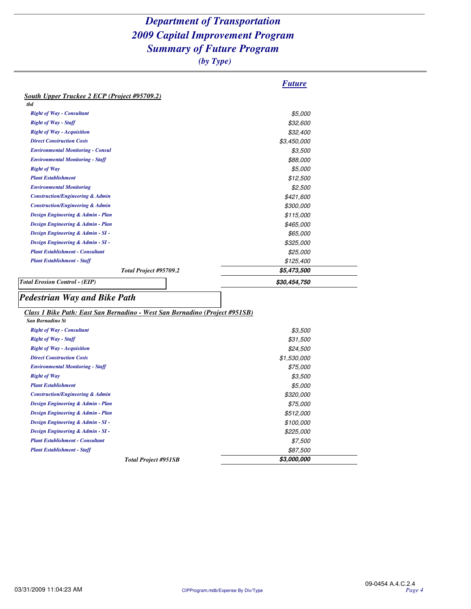|                                                                                                                                                          | <b>Future</b>        |
|----------------------------------------------------------------------------------------------------------------------------------------------------------|----------------------|
| <b>South Upper Truckee 2 ECP (Project #95709.2)</b>                                                                                                      |                      |
| tbd                                                                                                                                                      |                      |
| <b>Right of Way - Consultant</b>                                                                                                                         | \$5,000              |
| <b>Right of Way - Staff</b>                                                                                                                              | \$32,600             |
| <b>Right of Way - Acquisition</b>                                                                                                                        | \$32,400             |
| <b>Direct Construction Costs</b>                                                                                                                         | \$3,450,000          |
| <b>Environmental Monitoring - Consul</b>                                                                                                                 | \$3,500              |
| <b>Environmental Monitoring - Staff</b>                                                                                                                  | \$88,000             |
| <b>Right of Way</b>                                                                                                                                      | \$5,000              |
| <b>Plant Establishment</b>                                                                                                                               | \$12,500             |
| <b>Environmental Monitoring</b>                                                                                                                          | \$2,500              |
| <b>Construction/Engineering &amp; Admin</b>                                                                                                              | \$421,600            |
| <b>Construction/Engineering &amp; Admin</b>                                                                                                              | \$300,000            |
| Design Engineering & Admin - Plan                                                                                                                        | \$115,000            |
| Design Engineering & Admin - Plan                                                                                                                        | \$465,000            |
| Design Engineering & Admin - SI -                                                                                                                        | \$65,000             |
| Design Engineering & Admin - SI -                                                                                                                        | \$325,000            |
| <b>Plant Establishment - Consultant</b>                                                                                                                  | \$25,000             |
| <b>Plant Establishment - Staff</b>                                                                                                                       | \$125,400            |
| Total Project #95709.2                                                                                                                                   | \$5,473,500          |
|                                                                                                                                                          |                      |
|                                                                                                                                                          | \$30,454,750         |
| <b>Total Erosion Control - (EIP)</b>                                                                                                                     |                      |
|                                                                                                                                                          |                      |
| San Bernadino St                                                                                                                                         |                      |
| <b>Right of Way - Consultant</b>                                                                                                                         | \$3,500              |
| <b>Right of Way - Staff</b>                                                                                                                              |                      |
| <b>Right of Way - Acquisition</b>                                                                                                                        | \$31,500             |
| <b>Direct Construction Costs</b>                                                                                                                         | \$24,500             |
| <b>Environmental Monitoring - Staff</b>                                                                                                                  | \$1,530,000          |
| <b>Right of Way</b>                                                                                                                                      | \$75,000<br>\$3,500  |
| <b>Plant Establishment</b>                                                                                                                               | \$5,000              |
| <b>Construction/Engineering &amp; Admin</b>                                                                                                              |                      |
| Design Engineering & Admin - Plan                                                                                                                        | \$320,000            |
| Design Engineering & Admin - Plan                                                                                                                        | \$75,000             |
| Design Engineering & Admin - SI -                                                                                                                        | \$512,000            |
| Design Engineering & Admin - SI -                                                                                                                        | \$100,000            |
| <b>Plant Establishment - Consultant</b>                                                                                                                  | \$225,000<br>\$7,500 |
| <b>Pedestrian Way and Bike Path</b><br>Class 1 Bike Path: East San Bernadino - West San Bernadino (Project #951SB)<br><b>Plant Establishment - Staff</b> | \$87,500             |